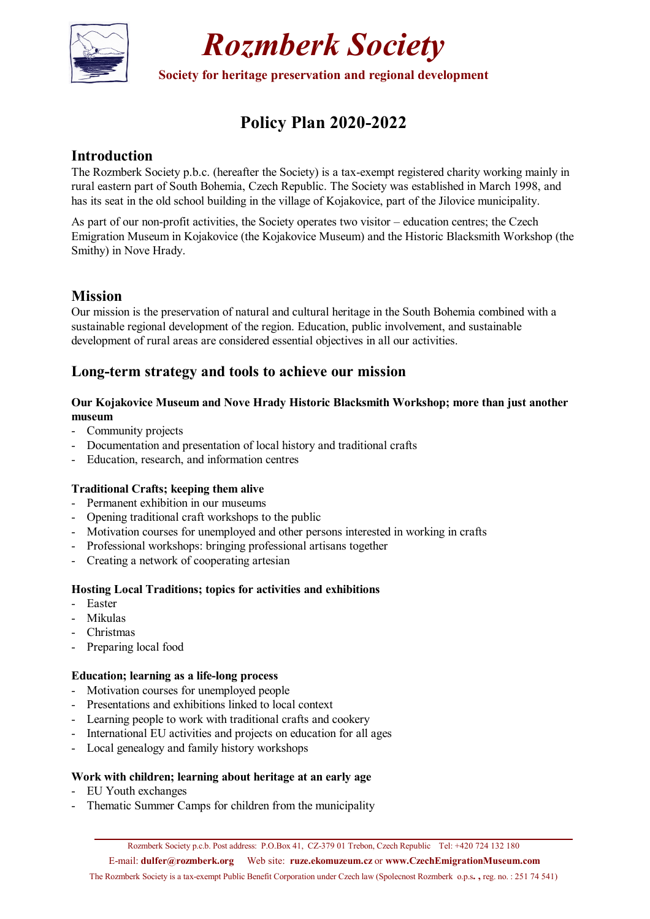

*Rozmberk Society* 

**Society for heritage preservation and regional development** 

# **Policy Plan 2020-2022**

## **Introduction**

The Rozmberk Society p.b.c. (hereafter the Society) is a tax-exempt registered charity working mainly in rural eastern part of South Bohemia, Czech Republic. The Society was established in March 1998, and has its seat in the old school building in the village of Kojakovice, part of the Jilovice municipality.

As part of our non-profit activities, the Society operates two visitor – education centres; the Czech Emigration Museum in Kojakovice (the Kojakovice Museum) and the Historic Blacksmith Workshop (the Smithy) in Nove Hrady.

# **Mission**

Our mission is the preservation of natural and cultural heritage in the South Bohemia combined with a sustainable regional development of the region. Education, public involvement, and sustainable development of rural areas are considered essential objectives in all our activities.

## **Long-term strategy and tools to achieve our mission**

### **Our Kojakovice Museum and Nove Hrady Historic Blacksmith Workshop; more than just another museum**

- Community projects
- Documentation and presentation of local history and traditional crafts
- Education, research, and information centres

### **Traditional Crafts; keeping them alive**

- Permanent exhibition in our museums
- Opening traditional craft workshops to the public
- Motivation courses for unemployed and other persons interested in working in crafts
- Professional workshops: bringing professional artisans together
- Creating a network of cooperating artesian

### **Hosting Local Traditions; topics for activities and exhibitions**

- Easter
- Mikulas
- Christmas
- Preparing local food

### **Education; learning as a life-long process**

- Motivation courses for unemployed people
- Presentations and exhibitions linked to local context
- Learning people to work with traditional crafts and cookery
- International EU activities and projects on education for all ages
- Local genealogy and family history workshops

### **Work with children; learning about heritage at an early age**

- EU Youth exchanges
- Thematic Summer Camps for children from the municipality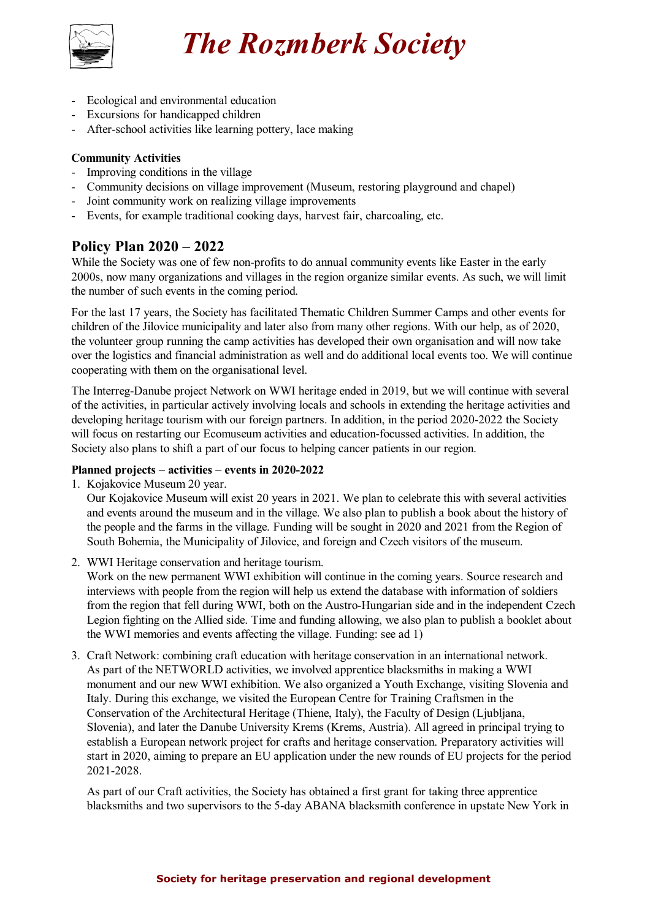

# *The Rozmberk Society*

- Ecological and environmental education
- Excursions for handicapped children
- After-school activities like learning pottery, lace making

### **Community Activities**

- Improving conditions in the village
- Community decisions on village improvement (Museum, restoring playground and chapel)
- Joint community work on realizing village improvements
- Events, for example traditional cooking days, harvest fair, charcoaling, etc.

### **Policy Plan 2020 – 2022**

While the Society was one of few non-profits to do annual community events like Easter in the early 2000s, now many organizations and villages in the region organize similar events. As such, we will limit the number of such events in the coming period.

For the last 17 years, the Society has facilitated Thematic Children Summer Camps and other events for children of the Jilovice municipality and later also from many other regions. With our help, as of 2020, the volunteer group running the camp activities has developed their own organisation and will now take over the logistics and financial administration as well and do additional local events too. We will continue cooperating with them on the organisational level.

The Interreg-Danube project Network on WWI heritage ended in 2019, but we will continue with several of the activities, in particular actively involving locals and schools in extending the heritage activities and developing heritage tourism with our foreign partners. In addition, in the period 2020-2022 the Society will focus on restarting our Ecomuseum activities and education-focussed activities. In addition, the Society also plans to shift a part of our focus to helping cancer patients in our region.

### **Planned projects – activities – events in 2020-2022**

1. Kojakovice Museum 20 year.

Our Kojakovice Museum will exist 20 years in 2021. We plan to celebrate this with several activities and events around the museum and in the village. We also plan to publish a book about the history of the people and the farms in the village. Funding will be sought in 2020 and 2021 from the Region of South Bohemia, the Municipality of Jilovice, and foreign and Czech visitors of the museum.

2. WWI Heritage conservation and heritage tourism.

Work on the new permanent WWI exhibition will continue in the coming years. Source research and interviews with people from the region will help us extend the database with information of soldiers from the region that fell during WWI, both on the Austro-Hungarian side and in the independent Czech Legion fighting on the Allied side. Time and funding allowing, we also plan to publish a booklet about the WWI memories and events affecting the village. Funding: see ad 1)

3. Craft Network: combining craft education with heritage conservation in an international network. As part of the NETWORLD activities, we involved apprentice blacksmiths in making a WWI monument and our new WWI exhibition. We also organized a Youth Exchange, visiting Slovenia and Italy. During this exchange, we visited the European Centre for Training Craftsmen in the Conservation of the Architectural Heritage (Thiene, Italy), the Faculty of Design (Ljubljana, Slovenia), and later the Danube University Krems (Krems, Austria). All agreed in principal trying to establish a European network project for crafts and heritage conservation. Preparatory activities will start in 2020, aiming to prepare an EU application under the new rounds of EU projects for the period 2021-2028.

As part of our Craft activities, the Society has obtained a first grant for taking three apprentice blacksmiths and two supervisors to the 5-day ABANA blacksmith conference in upstate New York in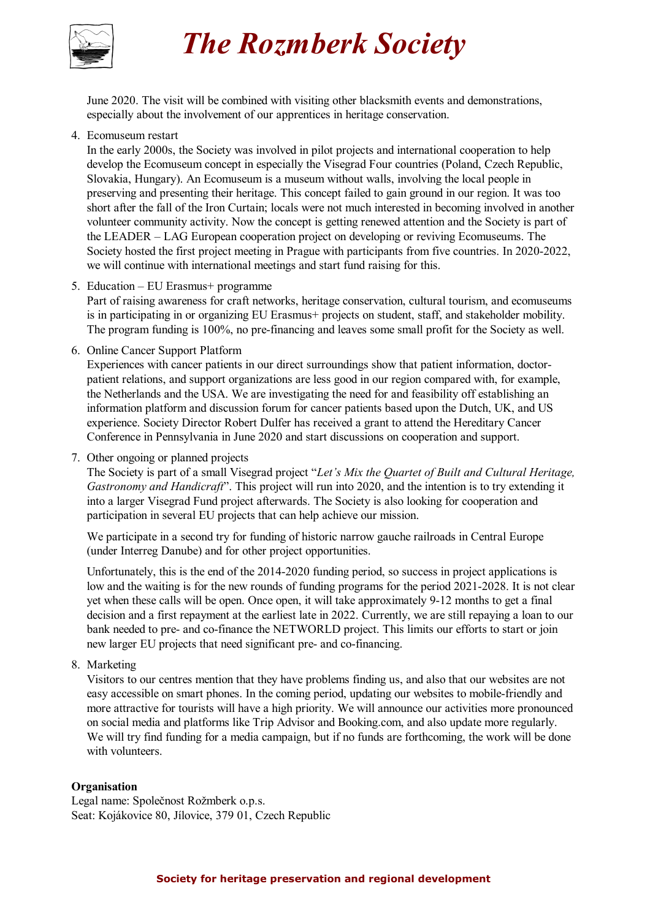

# *The Rozmberk Society*

June 2020. The visit will be combined with visiting other blacksmith events and demonstrations, especially about the involvement of our apprentices in heritage conservation.

4. Ecomuseum restart

In the early 2000s, the Society was involved in pilot projects and international cooperation to help develop the Ecomuseum concept in especially the Visegrad Four countries (Poland, Czech Republic, Slovakia, Hungary). An Ecomuseum is a museum without walls, involving the local people in preserving and presenting their heritage. This concept failed to gain ground in our region. It was too short after the fall of the Iron Curtain; locals were not much interested in becoming involved in another volunteer community activity. Now the concept is getting renewed attention and the Society is part of the LEADER – LAG European cooperation project on developing or reviving Ecomuseums. The Society hosted the first project meeting in Prague with participants from five countries. In 2020-2022, we will continue with international meetings and start fund raising for this.

5. Education – EU Erasmus+ programme

Part of raising awareness for craft networks, heritage conservation, cultural tourism, and ecomuseums is in participating in or organizing EU Erasmus+ projects on student, staff, and stakeholder mobility. The program funding is 100%, no pre-financing and leaves some small profit for the Society as well.

6. Online Cancer Support Platform

Experiences with cancer patients in our direct surroundings show that patient information, doctorpatient relations, and support organizations are less good in our region compared with, for example, the Netherlands and the USA. We are investigating the need for and feasibility off establishing an information platform and discussion forum for cancer patients based upon the Dutch, UK, and US experience. Society Director Robert Dulfer has received a grant to attend the Hereditary Cancer Conference in Pennsylvania in June 2020 and start discussions on cooperation and support.

7. Other ongoing or planned projects

The Society is part of a small Visegrad project "*Let's Mix the Quartet of Built and Cultural Heritage, Gastronomy and Handicraft*". This project will run into 2020, and the intention is to try extending it into a larger Visegrad Fund project afterwards. The Society is also looking for cooperation and participation in several EU projects that can help achieve our mission.

We participate in a second try for funding of historic narrow gauche railroads in Central Europe (under Interreg Danube) and for other project opportunities.

Unfortunately, this is the end of the 2014-2020 funding period, so success in project applications is low and the waiting is for the new rounds of funding programs for the period 2021-2028. It is not clear yet when these calls will be open. Once open, it will take approximately 9-12 months to get a final decision and a first repayment at the earliest late in 2022. Currently, we are still repaying a loan to our bank needed to pre- and co-finance the NETWORLD project. This limits our efforts to start or join new larger EU projects that need significant pre- and co-financing.

8. Marketing

Visitors to our centres mention that they have problems finding us, and also that our websites are not easy accessible on smart phones. In the coming period, updating our websites to mobile-friendly and more attractive for tourists will have a high priority. We will announce our activities more pronounced on social media and platforms like Trip Advisor and Booking.com, and also update more regularly. We will try find funding for a media campaign, but if no funds are forthcoming, the work will be done with volunteers.

### **Organisation**

Legal name: Společnost Rožmberk o.p.s. Seat: Kojákovice 80, Jílovice, 379 01, Czech Republic